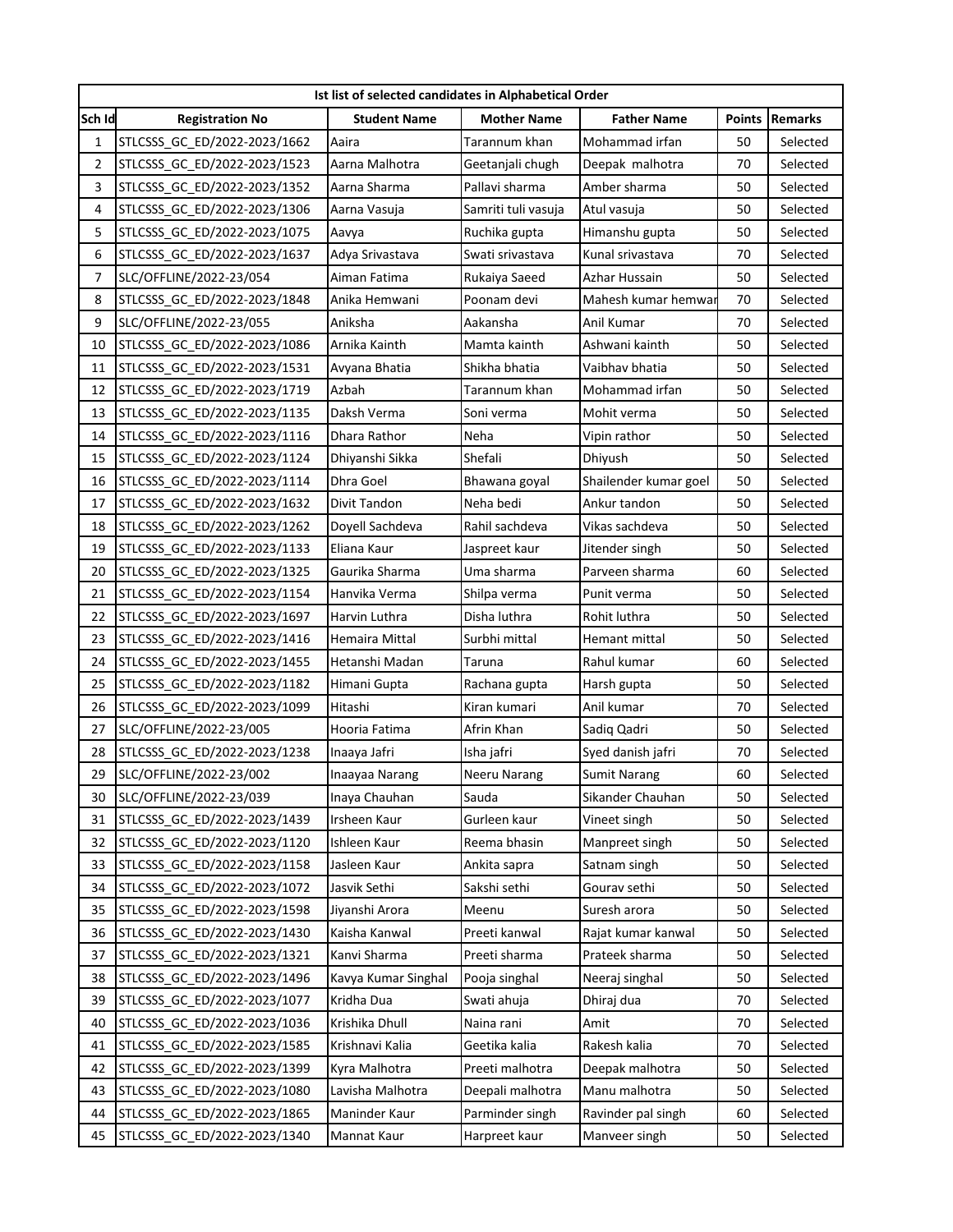| Ist list of selected candidates in Alphabetical Order |                              |                     |                     |                       |               |                |  |  |  |  |
|-------------------------------------------------------|------------------------------|---------------------|---------------------|-----------------------|---------------|----------------|--|--|--|--|
| Sch Id                                                | <b>Registration No</b>       | <b>Student Name</b> | <b>Mother Name</b>  | <b>Father Name</b>    | <b>Points</b> | <b>Remarks</b> |  |  |  |  |
| 1                                                     | STLCSSS_GC_ED/2022-2023/1662 | Aaira               | Tarannum khan       | Mohammad irfan        | 50            | Selected       |  |  |  |  |
| $\overline{2}$                                        | STLCSSS GC ED/2022-2023/1523 | Aarna Malhotra      | Geetanjali chugh    | Deepak malhotra       | 70            | Selected       |  |  |  |  |
| 3                                                     | STLCSSS GC ED/2022-2023/1352 | Aarna Sharma        | Pallavi sharma      | Amber sharma          | 50            | Selected       |  |  |  |  |
| 4                                                     | STLCSSS GC ED/2022-2023/1306 | Aarna Vasuja        | Samriti tuli vasuja | Atul vasuja           | 50            | Selected       |  |  |  |  |
| 5                                                     | STLCSSS GC ED/2022-2023/1075 | Aavya               | Ruchika gupta       | Himanshu gupta        | 50            | Selected       |  |  |  |  |
| 6                                                     | STLCSSS GC ED/2022-2023/1637 | Adya Srivastava     | Swati srivastava    | Kunal srivastava      | 70            | Selected       |  |  |  |  |
| 7                                                     | SLC/OFFLINE/2022-23/054      | Aiman Fatima        | Rukaiya Saeed       | Azhar Hussain         | 50            | Selected       |  |  |  |  |
| 8                                                     | STLCSSS_GC_ED/2022-2023/1848 | Anika Hemwani       | Poonam devi         | Mahesh kumar hemwar   | 70            | Selected       |  |  |  |  |
| 9                                                     | SLC/OFFLINE/2022-23/055      | Aniksha             | Aakansha            | Anil Kumar            | 70            | Selected       |  |  |  |  |
| 10                                                    | STLCSSS GC ED/2022-2023/1086 | Arnika Kainth       | Mamta kainth        | Ashwani kainth        | 50            | Selected       |  |  |  |  |
| 11                                                    | STLCSSS_GC_ED/2022-2023/1531 | Avyana Bhatia       | Shikha bhatia       | Vaibhav bhatia        | 50            | Selected       |  |  |  |  |
| 12                                                    | STLCSSS GC ED/2022-2023/1719 | Azbah               | Tarannum khan       | Mohammad irfan        | 50            | Selected       |  |  |  |  |
| 13                                                    | STLCSSS GC ED/2022-2023/1135 | Daksh Verma         | Soni verma          | Mohit verma           | 50            | Selected       |  |  |  |  |
| 14                                                    | STLCSSS GC ED/2022-2023/1116 | Dhara Rathor        | Neha                | Vipin rathor          | 50            | Selected       |  |  |  |  |
| 15                                                    | STLCSSS_GC_ED/2022-2023/1124 | Dhiyanshi Sikka     | Shefali             | Dhiyush               | 50            | Selected       |  |  |  |  |
| 16                                                    | STLCSSS GC ED/2022-2023/1114 | Dhra Goel           | Bhawana goyal       | Shailender kumar goel | 50            | Selected       |  |  |  |  |
| 17                                                    | STLCSSS GC ED/2022-2023/1632 | Divit Tandon        | Neha bedi           | Ankur tandon          | 50            | Selected       |  |  |  |  |
| 18                                                    | STLCSSS GC ED/2022-2023/1262 | Doyell Sachdeva     | Rahil sachdeva      | Vikas sachdeva        | 50            | Selected       |  |  |  |  |
| 19                                                    | STLCSSS_GC_ED/2022-2023/1133 | Eliana Kaur         | Jaspreet kaur       | Jitender singh        | 50            | Selected       |  |  |  |  |
| 20                                                    | STLCSSS_GC_ED/2022-2023/1325 | Gaurika Sharma      | Uma sharma          | Parveen sharma        | 60            | Selected       |  |  |  |  |
| 21                                                    | STLCSSS GC ED/2022-2023/1154 | Hanvika Verma       | Shilpa verma        | Punit verma           | 50            | Selected       |  |  |  |  |
| 22                                                    | STLCSSS_GC_ED/2022-2023/1697 | Harvin Luthra       | Disha luthra        | Rohit luthra          | 50            | Selected       |  |  |  |  |
| 23                                                    | STLCSSS GC ED/2022-2023/1416 | Hemaira Mittal      | Surbhi mittal       | Hemant mittal         | 50            | Selected       |  |  |  |  |
| 24                                                    | STLCSSS_GC_ED/2022-2023/1455 | Hetanshi Madan      | Taruna              | Rahul kumar           | 60            | Selected       |  |  |  |  |
| 25                                                    | STLCSSS_GC_ED/2022-2023/1182 | Himani Gupta        | Rachana gupta       | Harsh gupta           | 50            | Selected       |  |  |  |  |
| 26                                                    | STLCSSS_GC_ED/2022-2023/1099 | Hitashi             | Kiran kumari        | Anil kumar            | 70            | Selected       |  |  |  |  |
| 27                                                    | SLC/OFFLINE/2022-23/005      | Hooria Fatima       | Afrin Khan          | Sadiq Qadri           | 50            | Selected       |  |  |  |  |
| 28                                                    | STLCSSS_GC_ED/2022-2023/1238 | Inaaya Jafri        | Isha jafri          | Syed danish jafri     | 70            | Selected       |  |  |  |  |
| 29                                                    | SLC/OFFLINE/2022-23/002      | Inaayaa Narang      | Neeru Narang        | <b>Sumit Narang</b>   | 60            | Selected       |  |  |  |  |
| 30                                                    | SLC/OFFLINE/2022-23/039      | Inava Chauhan       | Sauda               | Sikander Chauhan      | 50            | Selected       |  |  |  |  |
| 31                                                    | STLCSSS GC ED/2022-2023/1439 | Irsheen Kaur        | Gurleen kaur        | Vineet singh          | 50            | Selected       |  |  |  |  |
| 32                                                    | STLCSSS GC ED/2022-2023/1120 | Ishleen Kaur        | Reema bhasin        | Manpreet singh        | 50            | Selected       |  |  |  |  |
| 33                                                    | STLCSSS GC ED/2022-2023/1158 | Jasleen Kaur        | Ankita sapra        | Satnam singh          | 50            | Selected       |  |  |  |  |
| 34                                                    | STLCSSS GC ED/2022-2023/1072 | Jasvik Sethi        | Sakshi sethi        | Gourav sethi          | 50            | Selected       |  |  |  |  |
| 35                                                    | STLCSSS GC ED/2022-2023/1598 | Jiyanshi Arora      | Meenu               | Suresh arora          | 50            | Selected       |  |  |  |  |
| 36                                                    | STLCSSS_GC_ED/2022-2023/1430 | Kaisha Kanwal       | Preeti kanwal       | Rajat kumar kanwal    | 50            | Selected       |  |  |  |  |
| 37                                                    | STLCSSS_GC_ED/2022-2023/1321 | Kanvi Sharma        | Preeti sharma       | Prateek sharma        | 50            | Selected       |  |  |  |  |
| 38                                                    | STLCSSS GC ED/2022-2023/1496 | Kavya Kumar Singhal | Pooja singhal       | Neeraj singhal        | 50            | Selected       |  |  |  |  |
| 39                                                    | STLCSSS GC ED/2022-2023/1077 | Kridha Dua          | Swati ahuja         | Dhiraj dua            | 70            | Selected       |  |  |  |  |
| 40                                                    | STLCSSS GC ED/2022-2023/1036 | Krishika Dhull      | Naina rani          | Amit                  | 70            | Selected       |  |  |  |  |
| 41                                                    | STLCSSS_GC_ED/2022-2023/1585 | Krishnavi Kalia     | Geetika kalia       | Rakesh kalia          | 70            | Selected       |  |  |  |  |
| 42                                                    | STLCSSS_GC_ED/2022-2023/1399 | Kyra Malhotra       | Preeti malhotra     | Deepak malhotra       | 50            | Selected       |  |  |  |  |
| 43                                                    | STLCSSS GC ED/2022-2023/1080 | Lavisha Malhotra    | Deepali malhotra    | Manu malhotra         | 50            | Selected       |  |  |  |  |
| 44                                                    | STLCSSS_GC_ED/2022-2023/1865 | Maninder Kaur       | Parminder singh     | Ravinder pal singh    | 60            | Selected       |  |  |  |  |
| 45                                                    | STLCSSS_GC_ED/2022-2023/1340 | Mannat Kaur         | Harpreet kaur       | Manveer singh         | 50            | Selected       |  |  |  |  |